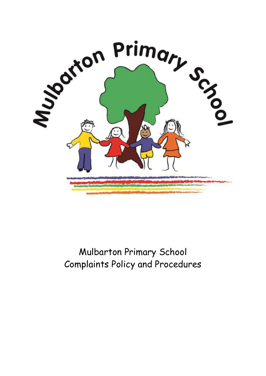

Mulbarton Primary School Complaints Policy and Procedures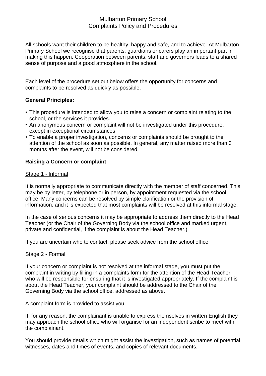# Mulbarton Primary School Complaints Policy and Procedures

All schools want their children to be healthy, happy and safe, and to achieve. At Mulbarton Primary School we recognise that parents, guardians or carers play an important part in making this happen. Cooperation between parents, staff and governors leads to a shared sense of purpose and a good atmosphere in the school.

Each level of the procedure set out below offers the opportunity for concerns and complaints to be resolved as quickly as possible.

### **General Principles:**

- This procedure is intended to allow you to raise a concern or complaint relating to the school, or the services it provides.
- An anonymous concern or complaint will not be investigated under this procedure, except in exceptional circumstances.
- To enable a proper investigation, concerns or complaints should be brought to the attention of the school as soon as possible. In general, any matter raised more than 3 months after the event, will not be considered.

## **Raising a Concern or complaint**

#### Stage 1 - Informal

It is normally appropriate to communicate directly with the member of staff concerned. This may be by letter, by telephone or in person, by appointment requested via the school office. Many concerns can be resolved by simple clarification or the provision of information, and it is expected that most complaints will be resolved at this informal stage.

In the case of serious concerns it may be appropriate to address them directly to the Head Teacher (or the Chair of the Governing Body via the school office and marked urgent, private and confidential, if the complaint is about the Head Teacher.)

If you are uncertain who to contact, please seek advice from the school office.

#### Stage 2 - Formal

If your concern or complaint is not resolved at the informal stage, you must put the complaint in writing by filling in a complaints form for the attention of the Head Teacher, who will be responsible for ensuring that it is investigated appropriately. If the complaint is about the Head Teacher, your complaint should be addressed to the Chair of the Governing Body via the school office, addressed as above.

A complaint form is provided to assist you.

If, for any reason, the complainant is unable to express themselves in written English they may approach the school office who will organise for an independent scribe to meet with the complainant.

You should provide details which might assist the investigation, such as names of potential witnesses, dates and times of events, and copies of relevant documents.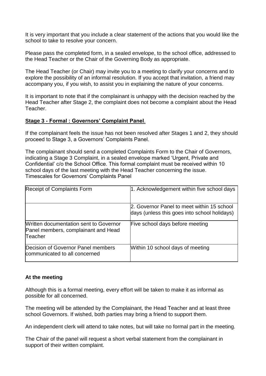It is very important that you include a clear statement of the actions that you would like the school to take to resolve your concern.

Please pass the completed form, in a sealed envelope, to the school office, addressed to the Head Teacher or the Chair of the Governing Body as appropriate.

The Head Teacher (or Chair) may invite you to a meeting to clarify your concerns and to explore the possibility of an informal resolution. If you accept that invitation, a friend may accompany you, if you wish, to assist you in explaining the nature of your concerns.

It is important to note that if the complainant is unhappy with the decision reached by the Head Teacher after Stage 2, the complaint does not become a complaint about the Head Teacher.

#### **Stage 3 - Formal : Governors' Complaint Panel**.

If the complainant feels the issue has not been resolved after Stages 1 and 2, they should proceed to Stage 3, a Governors' Complaints Panel.

The complainant should send a completed Complaints Form to the Chair of Governors, indicating a Stage 3 Complaint, in a sealed envelope marked 'Urgent, Private and Confidential' c/o the School Office. This formal complaint must be received within 10 school days of the last meeting with the Head Teacher concerning the issue. Timescales for Governors' Complaints Panel

| <b>Receipt of Complaints Form</b>                                                        | 1. Acknowledgement within five school days                                                 |
|------------------------------------------------------------------------------------------|--------------------------------------------------------------------------------------------|
|                                                                                          | 2. Governor Panel to meet within 15 school<br>days (unless this goes into school holidays) |
| Written documentation sent to Governor<br>Panel members, complainant and Head<br>Teacher | Five school days before meeting                                                            |
| Decision of Governor Panel members<br>communicated to all concerned                      | Within 10 school days of meeting                                                           |

#### **At the meeting**

Although this is a formal meeting, every effort will be taken to make it as informal as possible for all concerned.

The meeting will be attended by the Complainant, the Head Teacher and at least three school Governors. If wished, both parties may bring a friend to support them.

An independent clerk will attend to take notes, but will take no formal part in the meeting.

The Chair of the panel will request a short verbal statement from the complainant in support of their written complaint.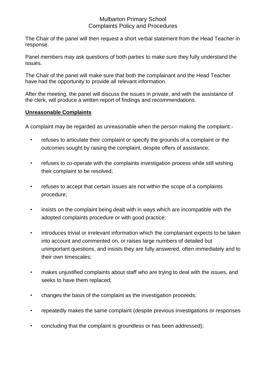## Mulbarton Primary School Complaints Policy and Procedures

The Chair of the panel will then request a short verbal statement from the Head Teacher in response.

Panel members may ask questions of both parties to make sure they fully understand the issues.

The Chair of the panel will make sure that both the complainant and the Head Teacher have had the opportunity to provide all relevant information.

After the meeting, the panel will discuss the issues in private, and with the assistance of the clerk, will produce a written report of findings and recommendations.

## **Unreasonable Complaints**

A complaint may be regarded as unreasonable when the person making the complaint:-

- refuses to articulate their complaint or specify the grounds of a complaint or the outcomes sought by raising the complaint, despite offers of assistance;
- refuses to co-operate with the complaints investigation process while still wishing their complaint to be resolved;
- refuses to accept that certain issues are not within the scope of a complaints procedure;
- insists on the complaint being dealt with in ways which are incompatible with the adopted complaints procedure or with good practice;
- introduces trivial or irrelevant information which the complainant expects to be taken into account and commented on, or raises large numbers of detailed but unimportant questions, and insists they are fully answered, often immediately and to their own timescales;
- makes unjustified complaints about staff who are trying to deal with the issues, and seeks to have them replaced;
- changes the basis of the complaint as the investigation proceeds;
- repeatedly makes the same complaint (despite previous investigations or responses
- concluding that the complaint is groundless or has been addressed);